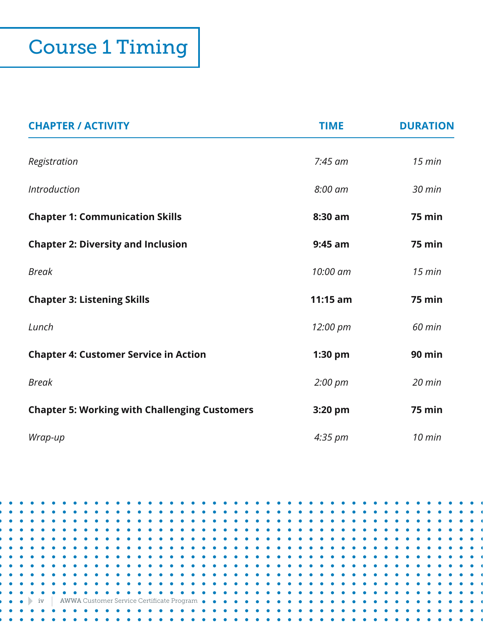| <b>CHAPTER / ACTIVITY</b>                            | <b>TIME</b>       | <b>DURATION</b> |
|------------------------------------------------------|-------------------|-----------------|
| Registration                                         | $7:45$ am         | $15$ min        |
| <b>Introduction</b>                                  | $8:00$ am         | $30$ min        |
| <b>Chapter 1: Communication Skills</b>               | 8:30 am           | <b>75 min</b>   |
| <b>Chapter 2: Diversity and Inclusion</b>            | $9:45$ am         | 75 min          |
| <b>Break</b>                                         | 10:00 am          | $15$ min        |
| <b>Chapter 3: Listening Skills</b>                   | $11:15$ am        | <b>75 min</b>   |
| Lunch                                                | 12:00 pm          | 60 min          |
| <b>Chapter 4: Customer Service in Action</b>         | 1:30 pm           | <b>90 min</b>   |
| <b>Break</b>                                         | $2:00 \text{ pm}$ | $20$ min        |
| <b>Chapter 5: Working with Challenging Customers</b> | 3:20 pm           | <b>75 min</b>   |
| Wrap-up                                              | $4:35 \text{ pm}$ | $10$ min        |

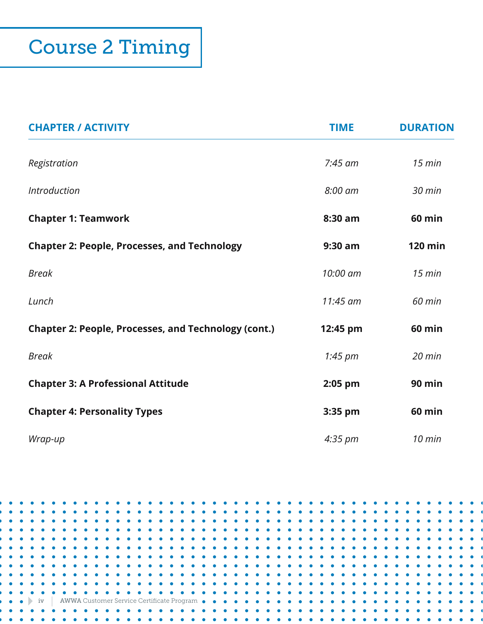| <b>CHAPTER / ACTIVITY</b>                                   | <b>TIME</b>       | <b>DURATION</b> |
|-------------------------------------------------------------|-------------------|-----------------|
| Registration                                                | $7:45$ am         | $15$ min        |
| <b>Introduction</b>                                         | 8:00 am           | 30 min          |
| <b>Chapter 1: Teamwork</b>                                  | 8:30 am           | <b>60 min</b>   |
| <b>Chapter 2: People, Processes, and Technology</b>         | 9:30 am           | <b>120 min</b>  |
| <b>Break</b>                                                | 10:00 am          | $15$ min        |
| Lunch                                                       | 11:45 am          | 60 min          |
| <b>Chapter 2: People, Processes, and Technology (cont.)</b> | 12:45 pm          | <b>60 min</b>   |
| <b>Break</b>                                                | 1:45 pm           | $20$ min        |
| <b>Chapter 3: A Professional Attitude</b>                   | $2:05$ pm         | 90 min          |
| <b>Chapter 4: Personality Types</b>                         | 3:35 pm           | <b>60 min</b>   |
| Wrap-up                                                     | $4:35 \text{ pm}$ | $10$ min        |